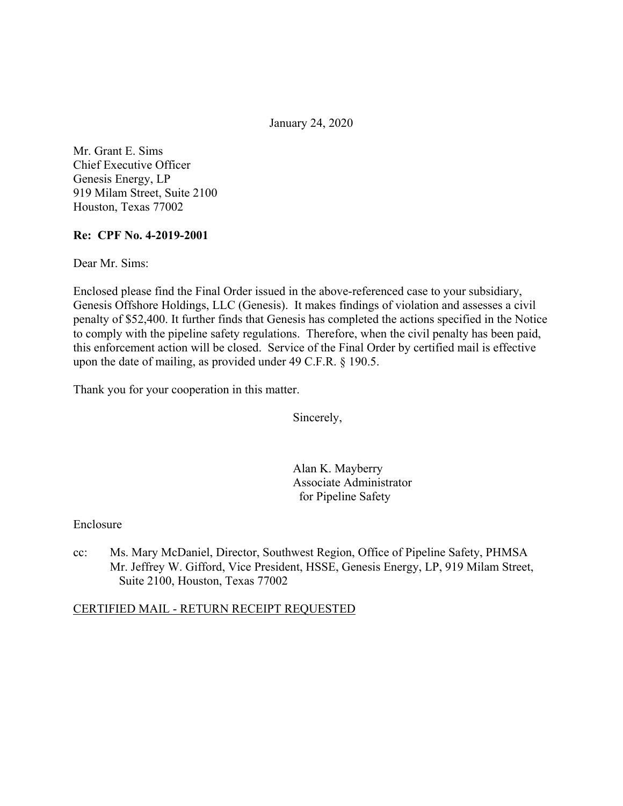January 24, 2020

Mr. Grant E. Sims Chief Executive Officer Genesis Energy, LP 919 Milam Street, Suite 2100 Houston, Texas 77002

#### **Re: CPF No. 4-2019-2001**

Dear Mr. Sims:

Enclosed please find the Final Order issued in the above-referenced case to your subsidiary, Genesis Offshore Holdings, LLC (Genesis). It makes findings of violation and assesses a civil penalty of \$52,400. It further finds that Genesis has completed the actions specified in the Notice to comply with the pipeline safety regulations. Therefore, when the civil penalty has been paid, this enforcement action will be closed. Service of the Final Order by certified mail is effective upon the date of mailing, as provided under 49 C.F.R. § 190.5.

Thank you for your cooperation in this matter.

Sincerely,

Alan K. Mayberry Associate Administrator for Pipeline Safety

Enclosure

cc: Ms. Mary McDaniel, Director, Southwest Region, Office of Pipeline Safety, PHMSA Mr. Jeffrey W. Gifford, Vice President, HSSE, Genesis Energy, LP, 919 Milam Street, Suite 2100, Houston, Texas 77002

#### CERTIFIED MAIL - RETURN RECEIPT REQUESTED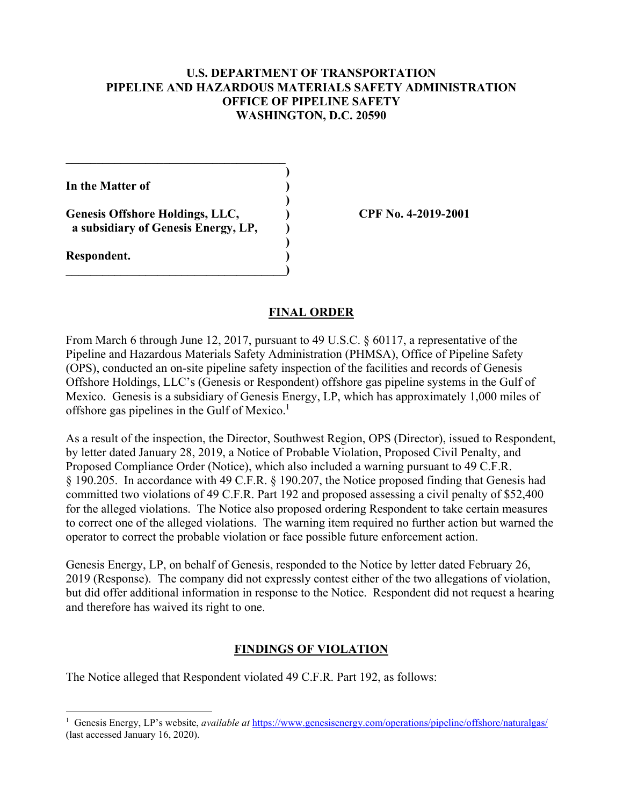#### **U.S. DEPARTMENT OF TRANSPORTATION PIPELINE AND HAZARDOUS MATERIALS SAFETY ADMINISTRATION OFFICE OF PIPELINE SAFETY WASHINGTON, D.C. 20590**

**)** 

**)** 

**)** 

**In the Matter of )** 

**Genesis Offshore Holdings, LLC, ) CPF No. 4-2019-2001 a subsidiary of Genesis Energy, LP, )** 

**\_\_\_\_\_\_\_\_\_\_\_\_\_\_\_\_\_\_\_\_\_\_\_\_\_\_\_\_\_\_\_\_\_\_\_\_)** 

 $\mathcal{L}=\{1,2,3,4,5\}$ 

**Respondent. )** 

### **FINAL ORDER**

From March 6 through June 12, 2017, pursuant to 49 U.S.C. § 60117, a representative of the Pipeline and Hazardous Materials Safety Administration (PHMSA), Office of Pipeline Safety (OPS), conducted an on-site pipeline safety inspection of the facilities and records of Genesis Offshore Holdings, LLC's (Genesis or Respondent) offshore gas pipeline systems in the Gulf of Mexico. Genesis is a subsidiary of Genesis Energy, LP, which has approximately 1,000 miles of offshore gas pipelines in the Gulf of Mexico.<sup>1</sup>

As a result of the inspection, the Director, Southwest Region, OPS (Director), issued to Respondent, by letter dated January 28, 2019, a Notice of Probable Violation, Proposed Civil Penalty, and Proposed Compliance Order (Notice), which also included a warning pursuant to 49 C.F.R. § 190.205. In accordance with 49 C.F.R. § 190.207, the Notice proposed finding that Genesis had committed two violations of 49 C.F.R. Part 192 and proposed assessing a civil penalty of \$52,400 for the alleged violations. The Notice also proposed ordering Respondent to take certain measures to correct one of the alleged violations. The warning item required no further action but warned the operator to correct the probable violation or face possible future enforcement action.

Genesis Energy, LP, on behalf of Genesis, responded to the Notice by letter dated February 26, 2019 (Response). The company did not expressly contest either of the two allegations of violation, but did offer additional information in response to the Notice. Respondent did not request a hearing and therefore has waived its right to one.

# **FINDINGS OF VIOLATION**

The Notice alleged that Respondent violated 49 C.F.R. Part 192, as follows:

 $\overline{a}$ <sup>1</sup> Genesis Energy, LP's website, *available at* [https://www.genesisenergy.com/operations/pipeline/offshore/naturalgas/](https://www.genesisenergy.com/operations/pipeline/offshore/naturalgas) (last accessed January 16, 2020).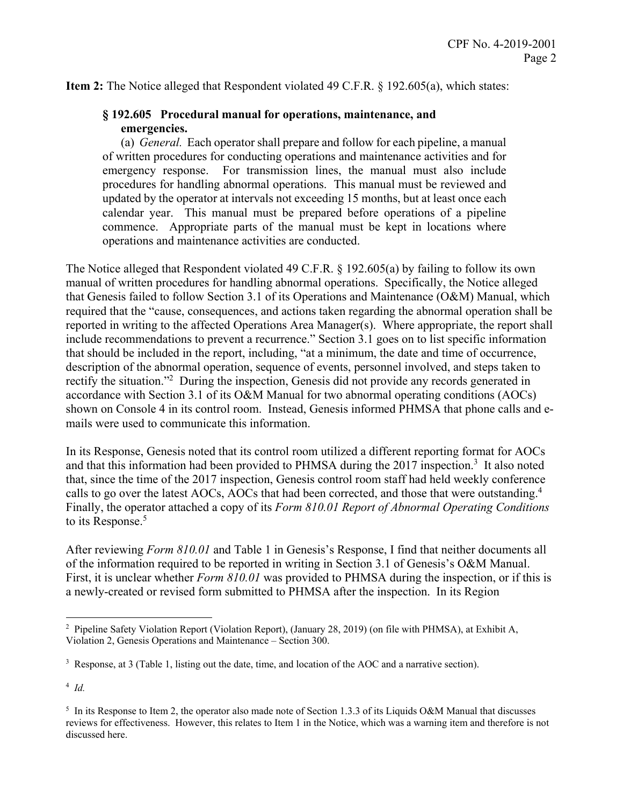**Item 2:** The Notice alleged that Respondent violated 49 C.F.R. § 192.605(a), which states:

#### **§ 192.605 Procedural manual for operations, maintenance, and emergencies.**

(a) *General.* Each operator shall prepare and follow for each pipeline, a manual of written procedures for conducting operations and maintenance activities and for emergency response. For transmission lines, the manual must also include procedures for handling abnormal operations. This manual must be reviewed and updated by the operator at intervals not exceeding 15 months, but at least once each calendar year. This manual must be prepared before operations of a pipeline commence. Appropriate parts of the manual must be kept in locations where operations and maintenance activities are conducted.

The Notice alleged that Respondent violated 49 C.F.R. § 192.605(a) by failing to follow its own manual of written procedures for handling abnormal operations. Specifically, the Notice alleged that Genesis failed to follow Section 3.1 of its Operations and Maintenance (O&M) Manual, which required that the "cause, consequences, and actions taken regarding the abnormal operation shall be reported in writing to the affected Operations Area Manager(s). Where appropriate, the report shall include recommendations to prevent a recurrence." Section 3.1 goes on to list specific information that should be included in the report, including, "at a minimum, the date and time of occurrence, description of the abnormal operation, sequence of events, personnel involved, and steps taken to rectify the situation."<sup>2</sup> During the inspection, Genesis did not provide any records generated in accordance with Section 3.1 of its O&M Manual for two abnormal operating conditions (AOCs) shown on Console 4 in its control room. Instead, Genesis informed PHMSA that phone calls and emails were used to communicate this information.

calls to go over the latest AOCs, AOCs that had been corrected, and those that were outstanding.<sup>4</sup> In its Response, Genesis noted that its control room utilized a different reporting format for AOCs and that this information had been provided to PHMSA during the  $2017$  inspection.<sup>3</sup> It also noted that, since the time of the 2017 inspection, Genesis control room staff had held weekly conference Finally, the operator attached a copy of its *Form 810.01 Report of Abnormal Operating Conditions*  to its Response.<sup>5</sup>

After reviewing *Form 810.01* and Table 1 in Genesis's Response, I find that neither documents all of the information required to be reported in writing in Section 3.1 of Genesis's O&M Manual. First, it is unclear whether *Form 810.01* was provided to PHMSA during the inspection, or if this is a newly-created or revised form submitted to PHMSA after the inspection. In its Region

 $\overline{a}$ 

<sup>2</sup> Pipeline Safety Violation Report (Violation Report), (January 28, 2019) (on file with PHMSA), at Exhibit A, Violation 2, Genesis Operations and Maintenance – Section 300.

<sup>3</sup> Response, at 3 (Table 1, listing out the date, time, and location of the AOC and a narrative section).

 <sup>4</sup>*Id.* 

<sup>&</sup>lt;sup>5</sup> In its Response to Item 2, the operator also made note of Section 1.3.3 of its Liquids O&M Manual that discusses reviews for effectiveness. However, this relates to Item 1 in the Notice, which was a warning item and therefore is not discussed here.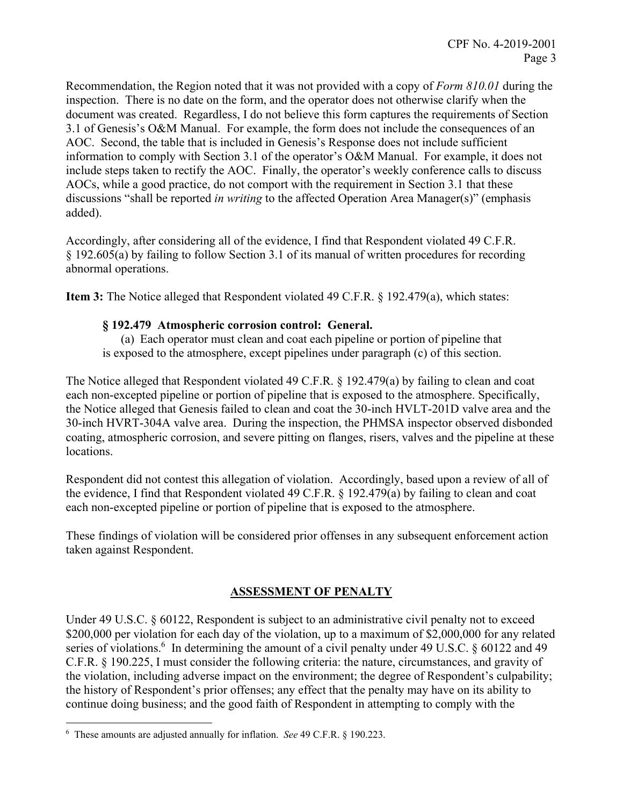Recommendation, the Region noted that it was not provided with a copy of *Form 810.01* during the inspection. There is no date on the form, and the operator does not otherwise clarify when the document was created. Regardless, I do not believe this form captures the requirements of Section 3.1 of Genesis's O&M Manual. For example, the form does not include the consequences of an AOC. Second, the table that is included in Genesis's Response does not include sufficient information to comply with Section 3.1 of the operator's O&M Manual. For example, it does not include steps taken to rectify the AOC. Finally, the operator's weekly conference calls to discuss AOCs, while a good practice, do not comport with the requirement in Section 3.1 that these discussions "shall be reported *in writing* to the affected Operation Area Manager(s)" (emphasis added).

Accordingly, after considering all of the evidence, I find that Respondent violated 49 C.F.R. § 192.605(a) by failing to follow Section 3.1 of its manual of written procedures for recording abnormal operations.

**Item 3:** The Notice alleged that Respondent violated 49 C.F.R. § 192.479(a), which states:

#### **§ 192.479 Atmospheric corrosion control: General.**

(a) Each operator must clean and coat each pipeline or portion of pipeline that is exposed to the atmosphere, except pipelines under paragraph (c) of this section.

The Notice alleged that Respondent violated 49 C.F.R. § 192.479(a) by failing to clean and coat each non-excepted pipeline or portion of pipeline that is exposed to the atmosphere. Specifically, the Notice alleged that Genesis failed to clean and coat the 30-inch HVLT-201D valve area and the 30-inch HVRT-304A valve area. During the inspection, the PHMSA inspector observed disbonded coating, atmospheric corrosion, and severe pitting on flanges, risers, valves and the pipeline at these locations.

Respondent did not contest this allegation of violation. Accordingly, based upon a review of all of the evidence, I find that Respondent violated 49 C.F.R. § 192.479(a) by failing to clean and coat each non-excepted pipeline or portion of pipeline that is exposed to the atmosphere.

These findings of violation will be considered prior offenses in any subsequent enforcement action taken against Respondent.

# **ASSESSMENT OF PENALTY**

Under 49 U.S.C. § 60122, Respondent is subject to an administrative civil penalty not to exceed \$200,000 per violation for each day of the violation, up to a maximum of \$2,000,000 for any related series of violations.<sup>6</sup> In determining the amount of a civil penalty under 49 U.S.C. § 60122 and 49 C.F.R. § 190.225, I must consider the following criteria: the nature, circumstances, and gravity of the violation, including adverse impact on the environment; the degree of Respondent's culpability; the history of Respondent's prior offenses; any effect that the penalty may have on its ability to continue doing business; and the good faith of Respondent in attempting to comply with the

 6 These amounts are adjusted annually for inflation. *See* 49 C.F.R. § 190.223.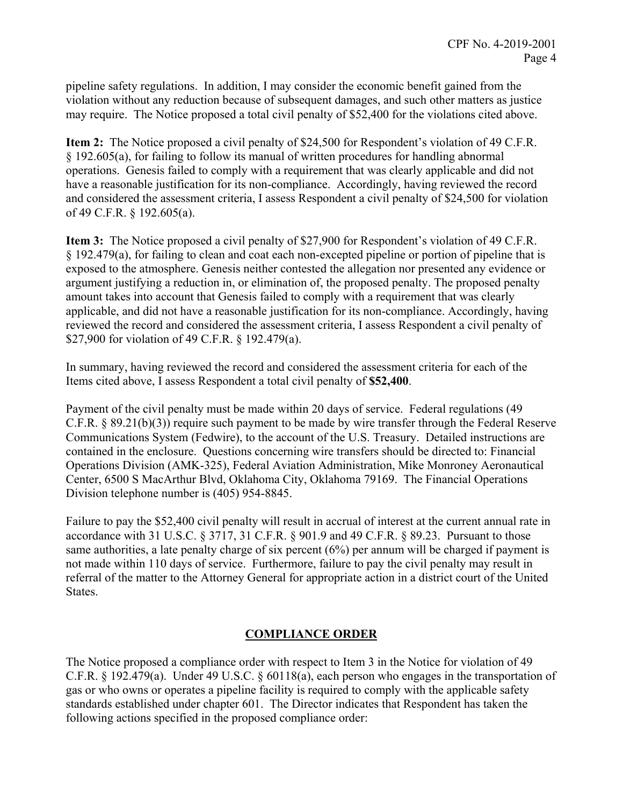pipeline safety regulations. In addition, I may consider the economic benefit gained from the violation without any reduction because of subsequent damages, and such other matters as justice may require. The Notice proposed a total civil penalty of \$52,400 for the violations cited above.

**Item 2:** The Notice proposed a civil penalty of \$24,500 for Respondent's violation of 49 C.F.R. § 192.605(a), for failing to follow its manual of written procedures for handling abnormal operations. Genesis failed to comply with a requirement that was clearly applicable and did not have a reasonable justification for its non-compliance. Accordingly, having reviewed the record and considered the assessment criteria, I assess Respondent a civil penalty of \$24,500 for violation of 49 C.F.R. § 192.605(a).

**Item 3:** The Notice proposed a civil penalty of \$27,900 for Respondent's violation of 49 C.F.R. § 192.479(a), for failing to clean and coat each non-excepted pipeline or portion of pipeline that is exposed to the atmosphere. Genesis neither contested the allegation nor presented any evidence or argument justifying a reduction in, or elimination of, the proposed penalty. The proposed penalty amount takes into account that Genesis failed to comply with a requirement that was clearly applicable, and did not have a reasonable justification for its non-compliance. Accordingly, having reviewed the record and considered the assessment criteria, I assess Respondent a civil penalty of \$27,900 for violation of 49 C.F.R. § 192.479(a).

In summary, having reviewed the record and considered the assessment criteria for each of the Items cited above, I assess Respondent a total civil penalty of **\$52,400**.

Payment of the civil penalty must be made within 20 days of service. Federal regulations (49 C.F.R. § 89.21(b)(3)) require such payment to be made by wire transfer through the Federal Reserve Communications System (Fedwire), to the account of the U.S. Treasury. Detailed instructions are contained in the enclosure. Questions concerning wire transfers should be directed to: Financial Operations Division (AMK-325), Federal Aviation Administration, Mike Monroney Aeronautical Center, 6500 S MacArthur Blvd, Oklahoma City, Oklahoma 79169. The Financial Operations Division telephone number is (405) 954-8845.

Failure to pay the \$52,400 civil penalty will result in accrual of interest at the current annual rate in accordance with 31 U.S.C. § 3717, 31 C.F.R. § 901.9 and 49 C.F.R. § 89.23. Pursuant to those same authorities, a late penalty charge of six percent (6%) per annum will be charged if payment is not made within 110 days of service. Furthermore, failure to pay the civil penalty may result in referral of the matter to the Attorney General for appropriate action in a district court of the United States.

# **COMPLIANCE ORDER**

The Notice proposed a compliance order with respect to Item 3 in the Notice for violation of 49 C.F.R.  $\S$  192.479(a). Under 49 U.S.C.  $\S$  60118(a), each person who engages in the transportation of gas or who owns or operates a pipeline facility is required to comply with the applicable safety standards established under chapter 601. The Director indicates that Respondent has taken the following actions specified in the proposed compliance order: